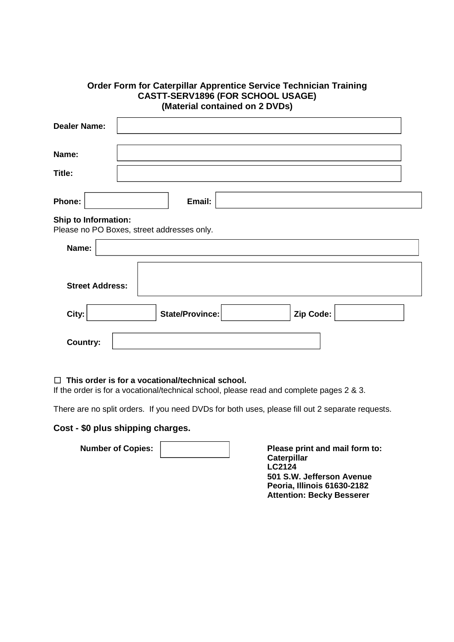|                             | Order Form for Caterpillar Apprentice Service Technician Training<br><b>CASTT-SERV1896 (FOR SCHOOL USAGE)</b><br>(Material contained on 2 DVDs) |
|-----------------------------|-------------------------------------------------------------------------------------------------------------------------------------------------|
| Dealer Name:                |                                                                                                                                                 |
| Name:                       |                                                                                                                                                 |
| Title:                      |                                                                                                                                                 |
| Phone:                      | Email:                                                                                                                                          |
| <b>Ship to Information:</b> | Please no PO Boxes, street addresses only.                                                                                                      |
| Name:                       |                                                                                                                                                 |
| <b>Street Address:</b>      |                                                                                                                                                 |
| City:                       | State/Province:<br>Zip Code:                                                                                                                    |
| <b>Country:</b>             |                                                                                                                                                 |

#### ☐ **This order is for a vocational/technical school.**

If the order is for a vocational/technical school, please read and complete pages 2 & 3.

There are no split orders. If you need DVDs for both uses, please fill out 2 separate requests.

#### **Cost - \$0 plus shipping charges.**

Number of Copies: **Please print and mail form to: Caterpillar LC2124 501 S.W. Jefferson Avenue Peoria, Illinois 61630-2182 Attention: Becky Besserer**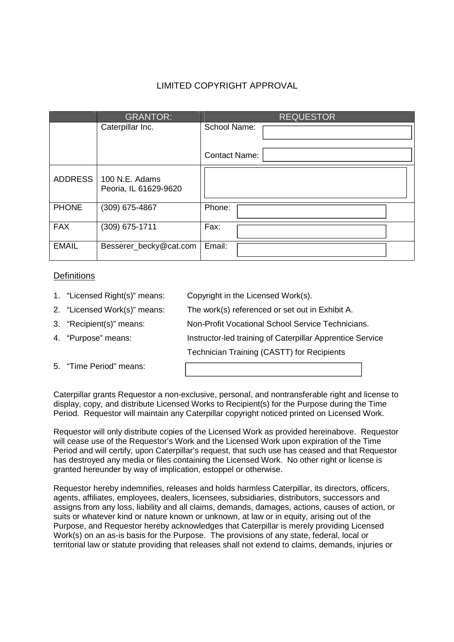# LIMITED COPYRIGHT APPROVAL

|                | <b>GRANTOR:</b>                         | <b>REQUESTOR</b>     |
|----------------|-----------------------------------------|----------------------|
|                | Caterpillar Inc.                        | School Name:         |
|                |                                         | <b>Contact Name:</b> |
| <b>ADDRESS</b> | 100 N.E. Adams<br>Peoria, IL 61629-9620 |                      |
| <b>PHONE</b>   | (309) 675-4867                          | Phone:               |
| <b>FAX</b>     | (309) 675-1711                          | Fax:                 |
| <b>EMAIL</b>   | Besserer_becky@cat.com                  | Email:               |

### **Definitions**

- 1. "Licensed Right(s)" means: Copyright in the Licensed Work(s).
- 2. "Licensed Work(s)" means: The work(s) referenced or set out in Exhibit A.
- 3. "Recipient(s)" means:
- 
- 5. "Time Period" means:

| 3. "Recipient(s)" means: | Non-Profit Vocational School Service Technicians.         |
|--------------------------|-----------------------------------------------------------|
| 4. "Purpose" means:      | Instructor-led training of Caterpillar Apprentice Service |
|                          | Technician Training (CASTT) for Recipients                |
| 5. "Time Period" means:  |                                                           |

Caterpillar grants Requestor a non-exclusive, personal, and nontransferable right and license to display, copy, and distribute Licensed Works to Recipient(s) for the Purpose during the Time Period. Requestor will maintain any Caterpillar copyright noticed printed on Licensed Work.

Requestor will only distribute copies of the Licensed Work as provided hereinabove. Requestor will cease use of the Requestor's Work and the Licensed Work upon expiration of the Time Period and will certify, upon Caterpillar's request, that such use has ceased and that Requestor has destroyed any media or files containing the Licensed Work. No other right or license is granted hereunder by way of implication, estoppel or otherwise.

Requestor hereby indemnifies, releases and holds harmless Caterpillar, its directors, officers, agents, affiliates, employees, dealers, licensees, subsidiaries, distributors, successors and assigns from any loss, liability and all claims, demands, damages, actions, causes of action, or suits or whatever kind or nature known or unknown, at law or in equity, arising out of the Purpose, and Requestor hereby acknowledges that Caterpillar is merely providing Licensed Work(s) on an as-is basis for the Purpose. The provisions of any state, federal, local or territorial law or statute providing that releases shall not extend to claims, demands, injuries or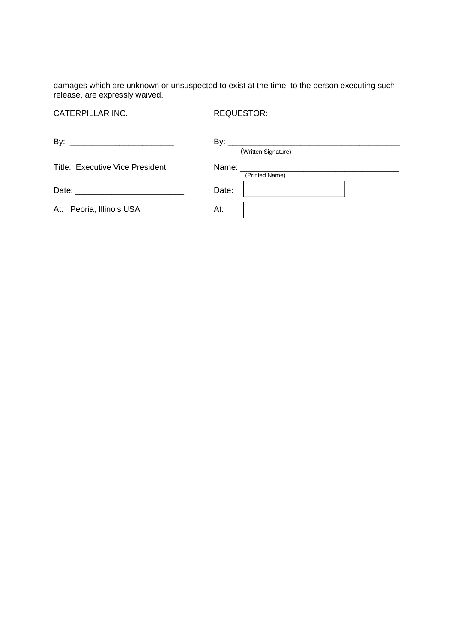damages which are unknown or unsuspected to exist at the time, to the person executing such release, are expressly waived.

CATERPILLAR INC. REQUESTOR:

| By:                             | By:                 |
|---------------------------------|---------------------|
|                                 | (Written Signature) |
| Title: Executive Vice President |                     |
|                                 | (Printed Name)      |
| Date:                           | Date:               |
| At: Peoria, Illinois USA        | At:                 |